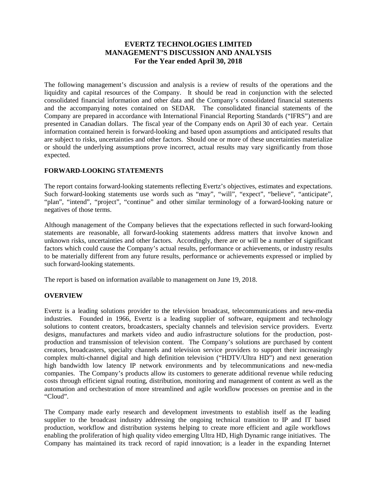# **EVERTZ TECHNOLOGIES LIMITED MANAGEMENT'S DISCUSSION AND ANALYSIS For the Year ended April 30, 2018**

The following management's discussion and analysis is a review of results of the operations and the liquidity and capital resources of the Company. It should be read in conjunction with the selected consolidated financial information and other data and the Company's consolidated financial statements and the accompanying notes contained on SEDAR. The consolidated financial statements of the Company are prepared in accordance with International Financial Reporting Standards ("IFRS") and are presented in Canadian dollars. The fiscal year of the Company ends on April 30 of each year. Certain information contained herein is forward-looking and based upon assumptions and anticipated results that are subject to risks, uncertainties and other factors. Should one or more of these uncertainties materialize or should the underlying assumptions prove incorrect, actual results may vary significantly from those expected.

# **FORWARD-LOOKING STATEMENTS**

The report contains forward-looking statements reflecting Evertz's objectives, estimates and expectations. Such forward-looking statements use words such as "may", "will", "expect", "believe", "anticipate", "plan", "intend", "project", "continue" and other similar terminology of a forward-looking nature or negatives of those terms.

Although management of the Company believes that the expectations reflected in such forward-looking statements are reasonable, all forward-looking statements address matters that involve known and unknown risks, uncertainties and other factors. Accordingly, there are or will be a number of significant factors which could cause the Company's actual results, performance or achievements, or industry results to be materially different from any future results, performance or achievements expressed or implied by such forward-looking statements.

The report is based on information available to management on June 19, 2018.

# **OVERVIEW**

Evertz is a leading solutions provider to the television broadcast, telecommunications and new-media industries. Founded in 1966, Evertz is a leading supplier of software, equipment and technology solutions to content creators, broadcasters, specialty channels and television service providers. Evertz designs, manufactures and markets video and audio infrastructure solutions for the production, postproduction and transmission of television content. The Company's solutions are purchased by content creators, broadcasters, specialty channels and television service providers to support their increasingly complex multi-channel digital and high definition television ("HDTV/Ultra HD") and next generation high bandwidth low latency IP network environments and by telecommunications and new-media companies. The Company's products allow its customers to generate additional revenue while reducing costs through efficient signal routing, distribution, monitoring and management of content as well as the automation and orchestration of more streamlined and agile workflow processes on premise and in the "Cloud".

The Company made early research and development investments to establish itself as the leading supplier to the broadcast industry addressing the ongoing technical transition to IP and IT based production, workflow and distribution systems helping to create more efficient and agile workflows enabling the proliferation of high quality video emerging Ultra HD, High Dynamic range initiatives. The Company has maintained its track record of rapid innovation; is a leader in the expanding Internet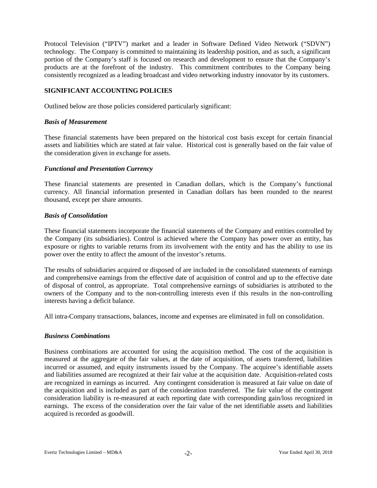Protocol Television ("IPTV") market and a leader in Software Defined Video Network ("SDVN") technology. The Company is committed to maintaining its leadership position, and as such, a significant portion of the Company's staff is focused on research and development to ensure that the Company's products are at the forefront of the industry. This commitment contributes to the Company being consistently recognized as a leading broadcast and video networking industry innovator by its customers.

### **SIGNIFICANT ACCOUNTING POLICIES**

Outlined below are those policies considered particularly significant:

### *Basis of Measurement*

These financial statements have been prepared on the historical cost basis except for certain financial assets and liabilities which are stated at fair value. Historical cost is generally based on the fair value of the consideration given in exchange for assets.

### *Functional and Presentation Currency*

These financial statements are presented in Canadian dollars, which is the Company's functional currency. All financial information presented in Canadian dollars has been rounded to the nearest thousand, except per share amounts.

### *Basis of Consolidation*

These financial statements incorporate the financial statements of the Company and entities controlled by the Company (its subsidiaries). Control is achieved where the Company has power over an entity, has exposure or rights to variable returns from its involvement with the entity and has the ability to use its power over the entity to affect the amount of the investor's returns.

The results of subsidiaries acquired or disposed of are included in the consolidated statements of earnings and comprehensive earnings from the effective date of acquisition of control and up to the effective date of disposal of control, as appropriate. Total comprehensive earnings of subsidiaries is attributed to the owners of the Company and to the non-controlling interests even if this results in the non-controlling interests having a deficit balance.

All intra-Company transactions, balances, income and expenses are eliminated in full on consolidation.

# *Business Combinations*

Business combinations are accounted for using the acquisition method. The cost of the acquisition is measured at the aggregate of the fair values, at the date of acquisition, of assets transferred, liabilities incurred or assumed, and equity instruments issued by the Company. The acquiree's identifiable assets and liabilities assumed are recognized at their fair value at the acquisition date. Acquisition-related costs are recognized in earnings as incurred. Any contingent consideration is measured at fair value on date of the acquisition and is included as part of the consideration transferred. The fair value of the contingent consideration liability is re-measured at each reporting date with corresponding gain/loss recognized in earnings. The excess of the consideration over the fair value of the net identifiable assets and liabilities acquired is recorded as goodwill.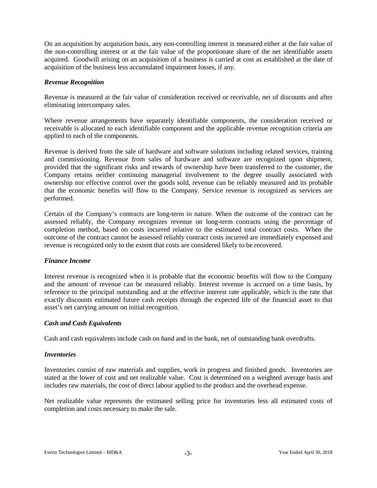On an acquisition by acquisition basis, any non-controlling interest is measured either at the fair value of the non-controlling interest or at the fair value of the proportionate share of the net identifiable assets acquired. Goodwill arising on an acquisition of a business is carried at cost as established at the date of acquisition of the business less accumulated impairment losses, if any.

### *Revenue Recognition*

Revenue is measured at the fair value of consideration received or receivable, net of discounts and after eliminating intercompany sales.

Where revenue arrangements have separately identifiable components, the consideration received or receivable is allocated to each identifiable component and the applicable revenue recognition criteria are applied to each of the components.

Revenue is derived from the sale of hardware and software solutions including related services, training and commissioning. Revenue from sales of hardware and software are recognized upon shipment, provided that the significant risks and rewards of ownership have been transferred to the customer, the Company retains neither continuing managerial involvement to the degree usually associated with ownership nor effective control over the goods sold, revenue can be reliably measured and its probable that the economic benefits will flow to the Company. Service revenue is recognized as services are performed.

Certain of the Company's contracts are long-term in nature. When the outcome of the contract can be assessed reliably, the Company recognizes revenue on long-term contracts using the percentage of completion method, based on costs incurred relative to the estimated total contract costs. When the outcome of the contract cannot be assessed reliably contract costs incurred are immediately expensed and revenue is recognized only to the extent that costs are considered likely to be recovered.

# *Finance Income*

Interest revenue is recognized when it is probable that the economic benefits will flow to the Company and the amount of revenue can be measured reliably. Interest revenue is accrued on a time basis, by reference to the principal outstanding and at the effective interest rate applicable, which is the rate that exactly discounts estimated future cash receipts through the expected life of the financial asset to that asset's net carrying amount on initial recognition.

# *Cash and Cash Equivalents*

Cash and cash equivalents include cash on hand and in the bank, net of outstanding bank overdrafts.

#### *Inventories*

Inventories consist of raw materials and supplies, work in progress and finished goods. Inventories are stated at the lower of cost and net realizable value. Cost is determined on a weighted average basis and includes raw materials, the cost of direct labour applied to the product and the overhead expense.

Net realizable value represents the estimated selling price for inventories less all estimated costs of completion and costs necessary to make the sale.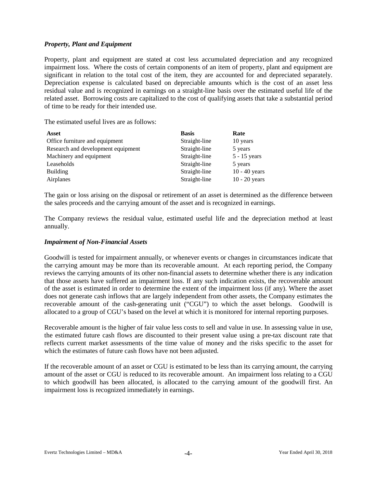## *Property, Plant and Equipment*

Property, plant and equipment are stated at cost less accumulated depreciation and any recognized impairment loss. Where the costs of certain components of an item of property, plant and equipment are significant in relation to the total cost of the item, they are accounted for and depreciated separately. Depreciation expense is calculated based on depreciable amounts which is the cost of an asset less residual value and is recognized in earnings on a straight-line basis over the estimated useful life of the related asset. Borrowing costs are capitalized to the cost of qualifying assets that take a substantial period of time to be ready for their intended use.

The estimated useful lives are as follows:

| Asset                              | <b>Basis</b>  | Rate            |
|------------------------------------|---------------|-----------------|
| Office furniture and equipment     | Straight-line | 10 years        |
| Research and development equipment | Straight-line | 5 years         |
| Machinery and equipment            | Straight-line | $5 - 15$ years  |
| Leaseholds                         | Straight-line | 5 years         |
| Building                           | Straight-line | $10 - 40$ years |
| Airplanes                          | Straight-line | $10 - 20$ years |

The gain or loss arising on the disposal or retirement of an asset is determined as the difference between the sales proceeds and the carrying amount of the asset and is recognized in earnings.

The Company reviews the residual value, estimated useful life and the depreciation method at least annually.

### *Impairment of Non-Financial Assets*

Goodwill is tested for impairment annually, or whenever events or changes in circumstances indicate that the carrying amount may be more than its recoverable amount. At each reporting period, the Company reviews the carrying amounts of its other non-financial assets to determine whether there is any indication that those assets have suffered an impairment loss. If any such indication exists, the recoverable amount of the asset is estimated in order to determine the extent of the impairment loss (if any). Where the asset does not generate cash inflows that are largely independent from other assets, the Company estimates the recoverable amount of the cash-generating unit ("CGU") to which the asset belongs. Goodwill is allocated to a group of CGU's based on the level at which it is monitored for internal reporting purposes.

Recoverable amount is the higher of fair value less costs to sell and value in use. In assessing value in use, the estimated future cash flows are discounted to their present value using a pre-tax discount rate that reflects current market assessments of the time value of money and the risks specific to the asset for which the estimates of future cash flows have not been adjusted.

If the recoverable amount of an asset or CGU is estimated to be less than its carrying amount, the carrying amount of the asset or CGU is reduced to its recoverable amount. An impairment loss relating to a CGU to which goodwill has been allocated, is allocated to the carrying amount of the goodwill first. An impairment loss is recognized immediately in earnings.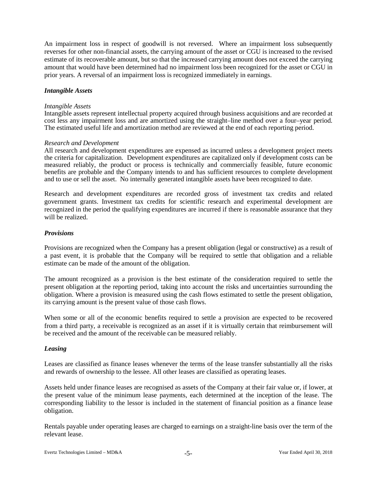An impairment loss in respect of goodwill is not reversed. Where an impairment loss subsequently reverses for other non-financial assets, the carrying amount of the asset or CGU is increased to the revised estimate of its recoverable amount, but so that the increased carrying amount does not exceed the carrying amount that would have been determined had no impairment loss been recognized for the asset or CGU in prior years. A reversal of an impairment loss is recognized immediately in earnings.

#### *Intangible Assets*

#### *Intangible Assets*

Intangible assets represent intellectual property acquired through business acquisitions and are recorded at cost less any impairment loss and are amortized using the straight–line method over a four–year period. The estimated useful life and amortization method are reviewed at the end of each reporting period.

### *Research and Development*

All research and development expenditures are expensed as incurred unless a development project meets the criteria for capitalization. Development expenditures are capitalized only if development costs can be measured reliably, the product or process is technically and commercially feasible, future economic benefits are probable and the Company intends to and has sufficient resources to complete development and to use or sell the asset. No internally generated intangible assets have been recognized to date.

Research and development expenditures are recorded gross of investment tax credits and related government grants. Investment tax credits for scientific research and experimental development are recognized in the period the qualifying expenditures are incurred if there is reasonable assurance that they will be realized.

### *Provisions*

Provisions are recognized when the Company has a present obligation (legal or constructive) as a result of a past event, it is probable that the Company will be required to settle that obligation and a reliable estimate can be made of the amount of the obligation.

The amount recognized as a provision is the best estimate of the consideration required to settle the present obligation at the reporting period, taking into account the risks and uncertainties surrounding the obligation. Where a provision is measured using the cash flows estimated to settle the present obligation, its carrying amount is the present value of those cash flows.

When some or all of the economic benefits required to settle a provision are expected to be recovered from a third party, a receivable is recognized as an asset if it is virtually certain that reimbursement will be received and the amount of the receivable can be measured reliably.

#### *Leasing*

Leases are classified as finance leases whenever the terms of the lease transfer substantially all the risks and rewards of ownership to the lessee. All other leases are classified as operating leases.

Assets held under finance leases are recognised as assets of the Company at their fair value or, if lower, at the present value of the minimum lease payments, each determined at the inception of the lease. The corresponding liability to the lessor is included in the statement of financial position as a finance lease obligation.

Rentals payable under operating leases are charged to earnings on a straight-line basis over the term of the relevant lease.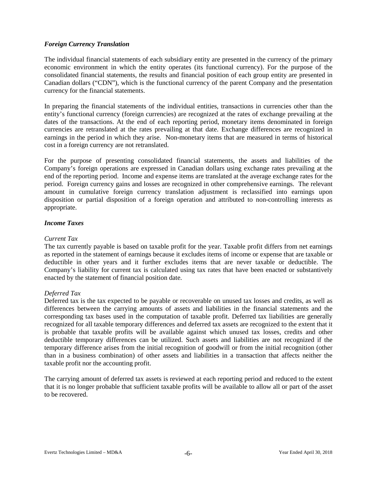# *Foreign Currency Translation*

The individual financial statements of each subsidiary entity are presented in the currency of the primary economic environment in which the entity operates (its functional currency). For the purpose of the consolidated financial statements, the results and financial position of each group entity are presented in Canadian dollars ("CDN"), which is the functional currency of the parent Company and the presentation currency for the financial statements.

In preparing the financial statements of the individual entities, transactions in currencies other than the entity's functional currency (foreign currencies) are recognized at the rates of exchange prevailing at the dates of the transactions. At the end of each reporting period, monetary items denominated in foreign currencies are retranslated at the rates prevailing at that date. Exchange differences are recognized in earnings in the period in which they arise. Non-monetary items that are measured in terms of historical cost in a foreign currency are not retranslated.

For the purpose of presenting consolidated financial statements, the assets and liabilities of the Company's foreign operations are expressed in Canadian dollars using exchange rates prevailing at the end of the reporting period. Income and expense items are translated at the average exchange rates for the period. Foreign currency gains and losses are recognized in other comprehensive earnings. The relevant amount in cumulative foreign currency translation adjustment is reclassified into earnings upon disposition or partial disposition of a foreign operation and attributed to non-controlling interests as appropriate.

# *Income Taxes*

### *Current Tax*

The tax currently payable is based on taxable profit for the year. Taxable profit differs from net earnings as reported in the statement of earnings because it excludes items of income or expense that are taxable or deductible in other years and it further excludes items that are never taxable or deductible. The Company's liability for current tax is calculated using tax rates that have been enacted or substantively enacted by the statement of financial position date.

# *Deferred Tax*

Deferred tax is the tax expected to be payable or recoverable on unused tax losses and credits, as well as differences between the carrying amounts of assets and liabilities in the financial statements and the corresponding tax bases used in the computation of taxable profit. Deferred tax liabilities are generally recognized for all taxable temporary differences and deferred tax assets are recognized to the extent that it is probable that taxable profits will be available against which unused tax losses, credits and other deductible temporary differences can be utilized. Such assets and liabilities are not recognized if the temporary difference arises from the initial recognition of goodwill or from the initial recognition (other than in a business combination) of other assets and liabilities in a transaction that affects neither the taxable profit nor the accounting profit.

The carrying amount of deferred tax assets is reviewed at each reporting period and reduced to the extent that it is no longer probable that sufficient taxable profits will be available to allow all or part of the asset to be recovered.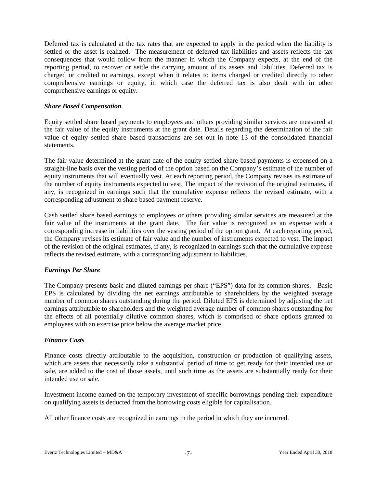Deferred tax is calculated at the tax rates that are expected to apply in the period when the liability is settled or the asset is realized. The measurement of deferred tax liabilities and assets reflects the tax consequences that would follow from the manner in which the Company expects, at the end of the reporting period, to recover or settle the carrying amount of its assets and liabilities. Deferred tax is charged or credited to earnings, except when it relates to items charged or credited directly to other comprehensive earnings or equity, in which case the deferred tax is also dealt with in other comprehensive earnings or equity.

### *Share Based Compensation*

Equity settled share based payments to employees and others providing similar services are measured at the fair value of the equity instruments at the grant date. Details regarding the determination of the fair value of equity settled share based transactions are set out in note 13 of the consolidated financial statements.

The fair value determined at the grant date of the equity settled share based payments is expensed on a straight-line basis over the vesting period of the option based on the Company's estimate of the number of equity instruments that will eventually vest. At each reporting period, the Company revises its estimate of the number of equity instruments expected to vest. The impact of the revision of the original estimates, if any, is recognized in earnings such that the cumulative expense reflects the revised estimate, with a corresponding adjustment to share based payment reserve.

Cash settled share based earnings to employees or others providing similar services are measured at the fair value of the instruments at the grant date. The fair value is recognized as an expense with a corresponding increase in liabilities over the vesting period of the option grant. At each reporting period, the Company revises its estimate of fair value and the number of instruments expected to vest. The impact of the revision of the original estimates, if any, is recognized in earnings such that the cumulative expense reflects the revised estimate, with a corresponding adjustment to liabilities.

# *Earnings Per Share*

The Company presents basic and diluted earnings per share ("EPS") data for its common shares. Basic EPS is calculated by dividing the net earnings attributable to shareholders by the weighted average number of common shares outstanding during the period. Diluted EPS is determined by adjusting the net earnings attributable to shareholders and the weighted average number of common shares outstanding for the effects of all potentially dilutive common shares, which is comprised of share options granted to employees with an exercise price below the average market price.

# *Finance Costs*

Finance costs directly attributable to the acquisition, construction or production of qualifying assets, which are assets that necessarily take a substantial period of time to get ready for their intended use or sale, are added to the cost of those assets, until such time as the assets are substantially ready for their intended use or sale.

Investment income earned on the temporary investment of specific borrowings pending their expenditure on qualifying assets is deducted from the borrowing costs eligible for capitalisation.

All other finance costs are recognized in earnings in the period in which they are incurred.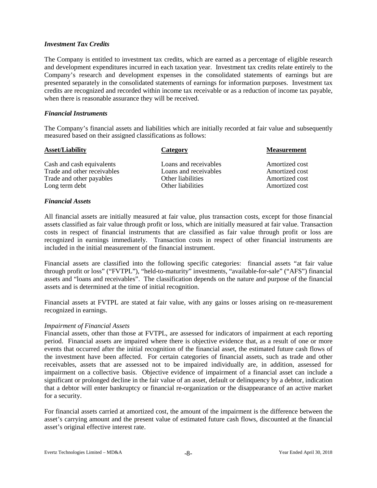### *Investment Tax Credits*

The Company is entitled to investment tax credits, which are earned as a percentage of eligible research and development expenditures incurred in each taxation year. Investment tax credits relate entirely to the Company's research and development expenses in the consolidated statements of earnings but are presented separately in the consolidated statements of earnings for information purposes. Investment tax credits are recognized and recorded within income tax receivable or as a reduction of income tax payable, when there is reasonable assurance they will be received.

### *Financial Instruments*

The Company's financial assets and liabilities which are initially recorded at fair value and subsequently measured based on their assigned classifications as follows:

| Category              | <b>Measurement</b> |
|-----------------------|--------------------|
| Loans and receivables | Amortized cost     |
| Loans and receivables | Amortized cost     |
| Other liabilities     | Amortized cost     |
| Other liabilities     | Amortized cost     |
|                       |                    |

# *Financial Assets*

All financial assets are initially measured at fair value, plus transaction costs, except for those financial assets classified as fair value through profit or loss, which are initially measured at fair value. Transaction costs in respect of financial instruments that are classified as fair value through profit or loss are recognized in earnings immediately. Transaction costs in respect of other financial instruments are included in the initial measurement of the financial instrument.

Financial assets are classified into the following specific categories: financial assets "at fair value through profit or loss" ("FVTPL"), "held-to-maturity" investments, "available-for-sale" ("AFS") financial assets and "loans and receivables". The classification depends on the nature and purpose of the financial assets and is determined at the time of initial recognition.

Financial assets at FVTPL are stated at fair value, with any gains or losses arising on re-measurement recognized in earnings.

#### *Impairment of Financial Assets*

Financial assets, other than those at FVTPL, are assessed for indicators of impairment at each reporting period. Financial assets are impaired where there is objective evidence that, as a result of one or more events that occurred after the initial recognition of the financial asset, the estimated future cash flows of the investment have been affected. For certain categories of financial assets, such as trade and other receivables, assets that are assessed not to be impaired individually are, in addition, assessed for impairment on a collective basis. Objective evidence of impairment of a financial asset can include a significant or prolonged decline in the fair value of an asset, default or delinquency by a debtor, indication that a debtor will enter bankruptcy or financial re-organization or the disappearance of an active market for a security.

For financial assets carried at amortized cost, the amount of the impairment is the difference between the asset's carrying amount and the present value of estimated future cash flows, discounted at the financial asset's original effective interest rate.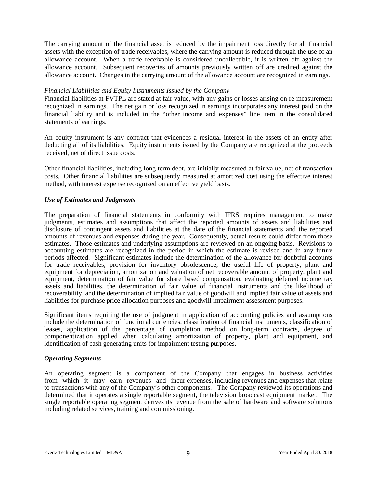The carrying amount of the financial asset is reduced by the impairment loss directly for all financial assets with the exception of trade receivables, where the carrying amount is reduced through the use of an allowance account. When a trade receivable is considered uncollectible, it is written off against the allowance account. Subsequent recoveries of amounts previously written off are credited against the allowance account. Changes in the carrying amount of the allowance account are recognized in earnings.

#### *Financial Liabilities and Equity Instruments Issued by the Company*

Financial liabilities at FVTPL are stated at fair value, with any gains or losses arising on re-measurement recognized in earnings. The net gain or loss recognized in earnings incorporates any interest paid on the financial liability and is included in the "other income and expenses" line item in the consolidated statements of earnings.

An equity instrument is any contract that evidences a residual interest in the assets of an entity after deducting all of its liabilities. Equity instruments issued by the Company are recognized at the proceeds received, net of direct issue costs.

Other financial liabilities, including long term debt, are initially measured at fair value, net of transaction costs. Other financial liabilities are subsequently measured at amortized cost using the effective interest method, with interest expense recognized on an effective yield basis.

### *Use of Estimates and Judgments*

The preparation of financial statements in conformity with IFRS requires management to make judgments, estimates and assumptions that affect the reported amounts of assets and liabilities and disclosure of contingent assets and liabilities at the date of the financial statements and the reported amounts of revenues and expenses during the year. Consequently, actual results could differ from those estimates. Those estimates and underlying assumptions are reviewed on an ongoing basis. Revisions to accounting estimates are recognized in the period in which the estimate is revised and in any future periods affected. Significant estimates include the determination of the allowance for doubtful accounts for trade receivables, provision for inventory obsolescence, the useful life of property, plant and equipment for depreciation, amortization and valuation of net recoverable amount of property, plant and equipment, determination of fair value for share based compensation, evaluating deferred income tax assets and liabilities, the determination of fair value of financial instruments and the likelihood of recoverability, and the determination of implied fair value of goodwill and implied fair value of assets and liabilities for purchase price allocation purposes and goodwill impairment assessment purposes.

Significant items requiring the use of judgment in application of accounting policies and assumptions include the determination of functional currencies, classification of financial instruments, classification of leases, application of the percentage of completion method on long-term contracts, degree of componentization applied when calculating amortization of property, plant and equipment, and identification of cash generating units for impairment testing purposes.

#### *Operating Segments*

An operating segment is a component of the Company that engages in business activities from which it may earn revenues and incur expenses, including revenues and expenses that relate to transactions with any of the Company's other components. The Company reviewed its operations and determined that it operates a single reportable segment, the television broadcast equipment market. The single reportable operating segment derives its revenue from the sale of hardware and software solutions including related services, training and commissioning.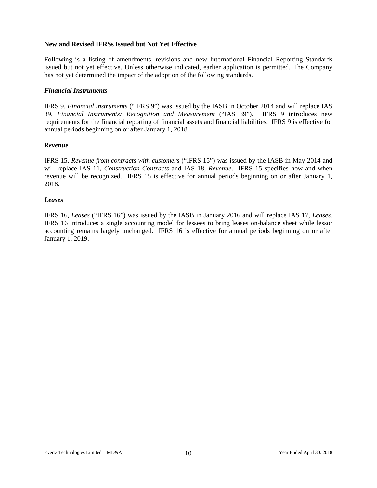# **New and Revised IFRSs Issued but Not Yet Effective**

Following is a listing of amendments, revisions and new International Financial Reporting Standards issued but not yet effective. Unless otherwise indicated, earlier application is permitted. The Company has not yet determined the impact of the adoption of the following standards.

## *Financial Instruments*

IFRS 9, *Financial instruments* ("IFRS 9") was issued by the IASB in October 2014 and will replace IAS 39, *Financial Instruments: Recognition and Measurement* ("IAS 39"). IFRS 9 introduces new requirements for the financial reporting of financial assets and financial liabilities. IFRS 9 is effective for annual periods beginning on or after January 1, 2018.

### *Revenue*

IFRS 15, *Revenue from contracts with customers* ("IFRS 15") was issued by the IASB in May 2014 and will replace IAS 11, *Construction Contracts* and IAS 18, *Revenue*. IFRS 15 specifies how and when revenue will be recognized. IFRS 15 is effective for annual periods beginning on or after January 1, 2018.

### *Leases*

IFRS 16, *Leases* ("IFRS 16") was issued by the IASB in January 2016 and will replace IAS 17, *Leases.* IFRS 16 introduces a single accounting model for lessees to bring leases on-balance sheet while lessor accounting remains largely unchanged. IFRS 16 is effective for annual periods beginning on or after January 1, 2019.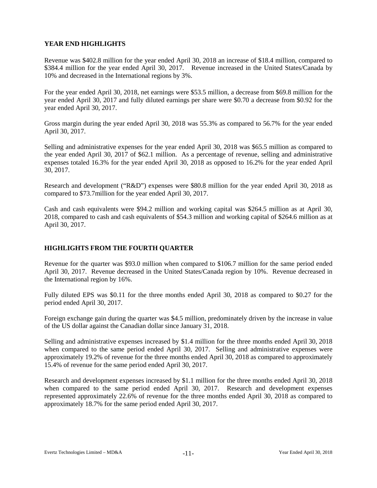# **YEAR END HIGHLIGHTS**

Revenue was \$402.8 million for the year ended April 30, 2018 an increase of \$18.4 million, compared to \$384.4 million for the year ended April 30, 2017. Revenue increased in the United States/Canada by 10% and decreased in the International regions by 3%.

For the year ended April 30, 2018, net earnings were \$53.5 million, a decrease from \$69.8 million for the year ended April 30, 2017 and fully diluted earnings per share were \$0.70 a decrease from \$0.92 for the year ended April 30, 2017.

Gross margin during the year ended April 30, 2018 was 55.3% as compared to 56.7% for the year ended April 30, 2017.

Selling and administrative expenses for the year ended April 30, 2018 was \$65.5 million as compared to the year ended April 30, 2017 of \$62.1 million. As a percentage of revenue, selling and administrative expenses totaled 16.3% for the year ended April 30, 2018 as opposed to 16.2% for the year ended April 30, 2017.

Research and development ("R&D") expenses were \$80.8 million for the year ended April 30, 2018 as compared to \$73.7million for the year ended April 30, 2017.

Cash and cash equivalents were \$94.2 million and working capital was \$264.5 million as at April 30, 2018, compared to cash and cash equivalents of \$54.3 million and working capital of \$264.6 million as at April 30, 2017.

# **HIGHLIGHTS FROM THE FOURTH QUARTER**

Revenue for the quarter was \$93.0 million when compared to \$106.7 million for the same period ended April 30, 2017. Revenue decreased in the United States/Canada region by 10%. Revenue decreased in the International region by 16%.

Fully diluted EPS was \$0.11 for the three months ended April 30, 2018 as compared to \$0.27 for the period ended April 30, 2017.

Foreign exchange gain during the quarter was \$4.5 million, predominately driven by the increase in value of the US dollar against the Canadian dollar since January 31, 2018.

Selling and administrative expenses increased by \$1.4 million for the three months ended April 30, 2018 when compared to the same period ended April 30, 2017. Selling and administrative expenses were approximately 19.2% of revenue for the three months ended April 30, 2018 as compared to approximately 15.4% of revenue for the same period ended April 30, 2017.

Research and development expenses increased by \$1.1 million for the three months ended April 30, 2018 when compared to the same period ended April 30, 2017. Research and development expenses represented approximately 22.6% of revenue for the three months ended April 30, 2018 as compared to approximately 18.7% for the same period ended April 30, 2017.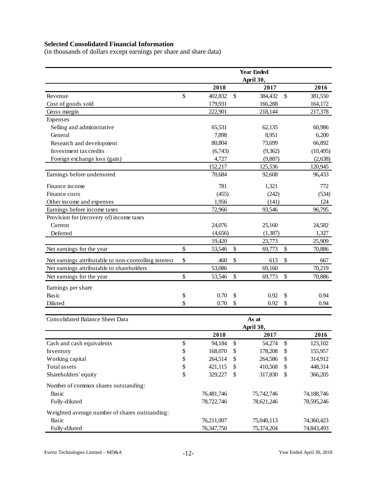# **Selected Consolidated Financial Information**

(in thousands of dollars except earnings per share and share data)

|                                                       | <b>Year Ended</b> |              |            |                   |            |  |
|-------------------------------------------------------|-------------------|--------------|------------|-------------------|------------|--|
|                                                       |                   |              | April 30,  |                   |            |  |
|                                                       | 2018              |              | 2017       |                   | 2016       |  |
| Revenue                                               | \$<br>402,832     | \$           | 384,432    | \$                | 381,550    |  |
| Cost of goods sold                                    | 179,931           |              | 166,288    |                   | 164,172    |  |
| Gross margin                                          | 222,901           |              | 218,144    |                   | 217,378    |  |
| Expenses                                              |                   |              |            |                   |            |  |
| Selling and administrative                            | 65,531            |              | 62,135     |                   | 60,986     |  |
| General                                               | 7,898             |              | 8,951      |                   | 6,200      |  |
| Research and development                              | 80,804            |              | 73,699     |                   | 66,892     |  |
| Investment tax credits                                | (6,743)           |              | (9,362)    |                   | (10, 495)  |  |
| Foreign exchange loss (gain)                          | 4,727             |              | (9,887)    |                   | (2,638)    |  |
|                                                       | 152,217           |              | 125,536    |                   | 120,945    |  |
| Earnings before undernoted                            | 70,684            |              | 92,608     |                   | 96,433     |  |
| Finance income                                        | 781               |              | 1,321      |                   | 772        |  |
| Finance costs                                         | (455)             |              | (242)      |                   | (534)      |  |
| Other income and expenses                             | 1,956             |              | (141)      |                   | 124        |  |
| Earnings before income taxes                          | 72,966            |              | 93,546     |                   | 96,795     |  |
| Provision for (recovery of) income taxes              |                   |              |            |                   |            |  |
| Current                                               | 24,076            |              | 25,160     |                   | 24,582     |  |
| Deferred                                              | (4,656)           |              | (1, 387)   |                   | 1,327      |  |
|                                                       | 19,420            |              | 23,773     |                   | 25,909     |  |
| Net earnings for the year                             | \$<br>53,546      | \$           | 69,773     | \$                | 70,886     |  |
| Net earnings attributable to non-controlling interest | \$<br>460         | \$           | 613        | \$                | 667        |  |
| Net earnings attributable to shareholders             | 53,086            |              | 69,160     |                   | 70,219     |  |
| Net earnings for the year                             | \$<br>53,546      | \$           | 69,773     | \$                | 70,886     |  |
| Earnings per share                                    |                   |              |            |                   |            |  |
| Basic                                                 | \$<br>0.70        | \$           | 0.92       | \$                | 0.94       |  |
| Diluted                                               | \$<br>0.70        | \$           | 0.92       | \$                | 0.94       |  |
|                                                       |                   |              |            |                   |            |  |
| <b>Consolidated Balance Sheet Data</b>                |                   |              | As at      |                   |            |  |
|                                                       |                   |              | April 30,  |                   |            |  |
|                                                       | 2018              |              | 2017       |                   | 2016       |  |
| Cash and cash equivalents                             | \$<br>94,184      | $\mathbb{S}$ | 54,274     | $\boldsymbol{\$}$ | 123,102    |  |
| Inventory                                             | \$<br>168,070     | \$           | 178,208    | \$                | 155,957    |  |
| Working capital                                       | \$<br>264,514     | \$           | 264,586    | \$                | 314,912    |  |
| Total assets                                          | \$<br>421,115     | \$           | 410,568    | \$                | 448,314    |  |
| Shareholders' equity                                  | \$<br>329,227     | \$           | 317,830    | \$                | 366,205    |  |
| Number of common shares outstanding:                  |                   |              |            |                   |            |  |
| Basic                                                 | 76,481,746        |              | 75,742,746 |                   | 74,188,746 |  |
| Fully-diluted                                         | 78,722,746        |              | 78,621,246 |                   | 78,595,246 |  |
| Weighted average number of shares outstanding:        |                   |              |            |                   |            |  |
| Basic                                                 | 76,211,007        |              | 75,040,113 |                   | 74,360,423 |  |
| Fully-diluted                                         | 76,347,750        |              | 75,374,204 |                   | 74,843,493 |  |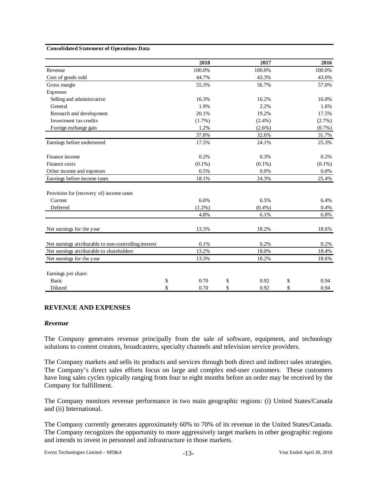#### **Consolidated Statement of Operations Data**

|                                                       | 2018       | 2017       | 2016       |
|-------------------------------------------------------|------------|------------|------------|
| Revenue                                               | 100.0%     | 100.0%     | 100.0%     |
| Cost of goods sold                                    | 44.7%      | 43.3%      | 43.0%      |
| Gross margin                                          | 55.3%      | 56.7%      | 57.0%      |
| Expenses                                              |            |            |            |
| Selling and administrative                            | 16.3%      | 16.2%      | 16.0%      |
| General                                               | 1.9%       | 2.2%       | 1.6%       |
| Research and development                              | 20.1%      | 19.2%      | 17.5%      |
| Investment tax credits                                | $(1.7\%)$  | $(2.4\%)$  | $(2.7\%)$  |
| Foreign exchange gain                                 | 1.2%       | $(2.6\%)$  | (0.7%)     |
|                                                       | 37.8%      | 32.6%      | 31.7%      |
| Earnings before undernoted                            | 17.5%      | 24.1%      | 25.3%      |
| Finance income                                        | 0.2%       | 0.3%       | 0.2%       |
| Finance costs                                         | $(0.1\%)$  | $(0.1\%)$  | $(0.1\%)$  |
| Other income and expenses                             | 0.5%       | $0.0\%$    | 0.0%       |
| Earnings before income taxes                          | 18.1%      | 24.3%      | 25.4%      |
| Provision for (recovery of) income taxes              |            |            |            |
| Current                                               | 6.0%       | 6.5%       | 6.4%       |
| Deferred                                              | $(1.2\%)$  | $(0.4\%)$  | 0.4%       |
|                                                       | 4.8%       | 6.1%       | 6.8%       |
| Net earnings for the year                             | 13.3%      | 18.2%      | 18.6%      |
| Net earnings attributable to non-controlling interest | 0.1%       | 0.2%       | 0.2%       |
| Net earnings attributable to shareholders             | 13.2%      | 18.0%      | 18.4%      |
| Net earnings for the year                             | 13.3%      | 18.2%      | 18.6%      |
| Earnings per share:                                   |            |            |            |
| <b>Basic</b>                                          | \$<br>0.70 | \$<br>0.92 | \$<br>0.94 |
| Diluted                                               | \$<br>0.70 | \$<br>0.92 | \$<br>0.94 |

#### **REVENUE AND EXPENSES**

#### *Revenue*

The Company generates revenue principally from the sale of software, equipment, and technology solutions to content creators, broadcasters, specialty channels and television service providers.

The Company markets and sells its products and services through both direct and indirect sales strategies. The Company's direct sales efforts focus on large and complex end-user customers. These customers have long sales cycles typically ranging from four to eight months before an order may be received by the Company for fulfillment.

The Company monitors revenue performance in two main geographic regions: (i) United States/Canada and (ii) International.

The Company currently generates approximately 60% to 70% of its revenue in the United States/Canada. The Company recognizes the opportunity to more aggressively target markets in other geographic regions and intends to invest in personnel and infrastructure in those markets.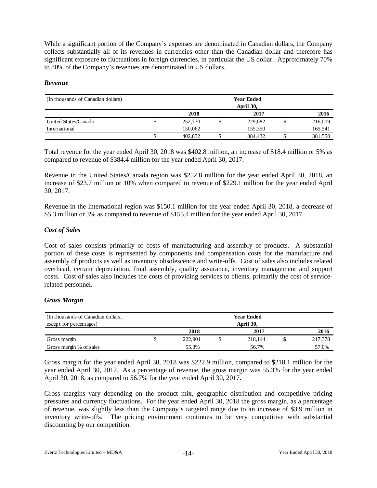While a significant portion of the Company's expenses are denominated in Canadian dollars, the Company collects substantially all of its revenues in currencies other than the Canadian dollar and therefore has significant exposure to fluctuations in foreign currencies, in particular the US dollar. Approximately 70% to 80% of the Company's revenues are denominated in US dollars.

### *Revenue*

| (In thousands of Canadian dollars) | <b>Year Ended</b><br>April 30, |         |  |         |  |         |
|------------------------------------|--------------------------------|---------|--|---------|--|---------|
|                                    |                                | 2018    |  | 2017    |  | 2016    |
| United States/Canada               | J                              | 252,770 |  | 229,082 |  | 216,009 |
| International                      |                                | 150.062 |  | 155.350 |  | 165,541 |
|                                    | чD                             | 402,832 |  | 384.432 |  | 381,550 |

Total revenue for the year ended April 30, 2018 was \$402.8 million, an increase of \$18.4 million or 5% as compared to revenue of \$384.4 million for the year ended April 30, 2017.

Revenue in the United States/Canada region was \$252.8 million for the year ended April 30, 2018, an increase of \$23.7 million or 10% when compared to revenue of \$229.1 million for the year ended April 30, 2017.

Revenue in the International region was \$150.1 million for the year ended April 30, 2018, a decrease of \$5.3 million or 3% as compared to revenue of \$155.4 million for the year ended April 30, 2017.

# *Cost of Sales*

Cost of sales consists primarily of costs of manufacturing and assembly of products. A substantial portion of these costs is represented by components and compensation costs for the manufacture and assembly of products as well as inventory obsolescence and write-offs. Cost of sales also includes related overhead, certain depreciation, final assembly, quality assurance, inventory management and support costs. Cost of sales also includes the costs of providing services to clients, primarily the cost of servicerelated personnel.

# *Gross Margin*

| (In thousands of Canadian dollars, |  |           | <b>Year Ended</b> |         |  |         |
|------------------------------------|--|-----------|-------------------|---------|--|---------|
| except for percentages)            |  | April 30, |                   |         |  |         |
|                                    |  | 2018      |                   | 2017    |  | 2016    |
| Gross margin                       |  | 222.901   |                   | 218.144 |  | 217,378 |
| Gross margin % of sales            |  | 55.3%     |                   | 56.7%   |  | 57.0%   |

Gross margin for the year ended April 30, 2018 was \$222.9 million, compared to \$218.1 million for the year ended April 30, 2017. As a percentage of revenue, the gross margin was 55.3% for the year ended April 30, 2018, as compared to 56.7% for the year ended April 30, 2017.

Gross margins vary depending on the product mix, geographic distribution and competitive pricing pressures and currency fluctuations. For the year ended April 30, 2018 the gross margin, as a percentage of revenue, was slightly less than the Company's targeted range due to an increase of \$3.9 million in inventory write-offs. The pricing environment continues to be very competitive with substantial discounting by our competition.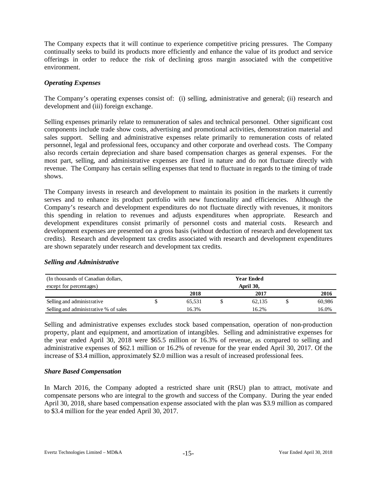The Company expects that it will continue to experience competitive pricing pressures. The Company continually seeks to build its products more efficiently and enhance the value of its product and service offerings in order to reduce the risk of declining gross margin associated with the competitive environment.

# *Operating Expenses*

The Company's operating expenses consist of: (i) selling, administrative and general; (ii) research and development and (iii) foreign exchange.

Selling expenses primarily relate to remuneration of sales and technical personnel. Other significant cost components include trade show costs, advertising and promotional activities, demonstration material and sales support. Selling and administrative expenses relate primarily to remuneration costs of related personnel, legal and professional fees, occupancy and other corporate and overhead costs. The Company also records certain depreciation and share based compensation charges as general expenses. For the most part, selling, and administrative expenses are fixed in nature and do not fluctuate directly with revenue. The Company has certain selling expenses that tend to fluctuate in regards to the timing of trade shows.

The Company invests in research and development to maintain its position in the markets it currently serves and to enhance its product portfolio with new functionality and efficiencies. Although the Company's research and development expenditures do not fluctuate directly with revenues, it monitors this spending in relation to revenues and adjusts expenditures when appropriate. Research and development expenditures consist primarily of personnel costs and material costs. Research and development expenses are presented on a gross basis (without deduction of research and development tax credits). Research and development tax credits associated with research and development expenditures are shown separately under research and development tax credits.

# *Selling and Administrative*

| (In thousands of Canadian dollars,    | <b>Year Ended</b> |  |        |  |        |  |
|---------------------------------------|-------------------|--|--------|--|--------|--|
| except for percentages)               | April 30,         |  |        |  |        |  |
|                                       | 2018              |  | 2017   |  | 2016   |  |
| Selling and administrative            | 65.531            |  | 62.135 |  | 60.986 |  |
| Selling and administrative % of sales | 16.3%             |  | 16.2%  |  | 16.0%  |  |

Selling and administrative expenses excludes stock based compensation, operation of non-production property, plant and equipment, and amortization of intangibles. Selling and administrative expenses for the year ended April 30, 2018 were \$65.5 million or 16.3% of revenue, as compared to selling and administrative expenses of \$62.1 million or 16.2% of revenue for the year ended April 30, 2017. Of the increase of \$3.4 million, approximately \$2.0 million was a result of increased professional fees.

# *Share Based Compensation*

In March 2016, the Company adopted a restricted share unit (RSU) plan to attract, motivate and compensate persons who are integral to the growth and success of the Company. During the year ended April 30, 2018, share based compensation expense associated with the plan was \$3.9 million as compared to \$3.4 million for the year ended April 30, 2017.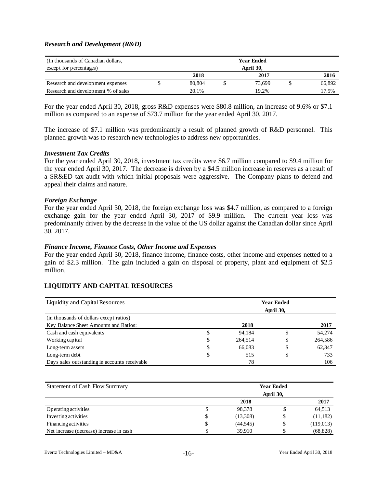### *Research and Development (R&D)*

| (In thousands of Canadian dollars,  | <b>Year Ended</b> |  |        |  |        |
|-------------------------------------|-------------------|--|--------|--|--------|
| except for percentages)             | April 30,         |  |        |  |        |
|                                     | 2018              |  | 2017   |  | 2016   |
| Research and development expenses   | 80,804            |  | 73.699 |  | 66,892 |
| Research and development % of sales | 20.1%             |  | 19.2%  |  | 17.5%  |

For the year ended April 30, 2018, gross R&D expenses were \$80.8 million, an increase of 9.6% or \$7.1 million as compared to an expense of \$73.7 million for the year ended April 30, 2017.

The increase of \$7.1 million was predominantly a result of planned growth of R&D personnel. This planned growth was to research new technologies to address new opportunities.

#### *Investment Tax Credits*

For the year ended April 30, 2018, investment tax credits were \$6.7 million compared to \$9.4 million for the year ended April 30, 2017. The decrease is driven by a \$4.5 million increase in reserves as a result of a SR&ED tax audit with which initial proposals were aggressive. The Company plans to defend and appeal their claims and nature.

#### *Foreign Exchange*

For the year ended April 30, 2018, the foreign exchange loss was \$4.7 million, as compared to a foreign exchange gain for the year ended April 30, 2017 of \$9.9 million. The current year loss was predominantly driven by the decrease in the value of the US dollar against the Canadian dollar since April 30, 2017.

#### *Finance Income, Finance Costs, Other Income and Expenses*

For the year ended April 30, 2018, finance income, finance costs, other income and expenses netted to a gain of \$2.3 million. The gain included a gain on disposal of property, plant and equipment of \$2.5 million.

### **LIQUIDITY AND CAPITAL RESOURCES**

| Liquidity and Capital Resources               | <b>Year Ended</b><br>April 30, |         |    |         |  |
|-----------------------------------------------|--------------------------------|---------|----|---------|--|
| (in thousands of dollars except ratios)       |                                |         |    |         |  |
| Key Balance Sheet Amounts and Ratios:         |                                | 2018    |    | 2017    |  |
| Cash and cash equivalents                     | J                              | 94,184  | S  | 54,274  |  |
| Working capital                               | Φ                              | 264,514 | \$ | 264,586 |  |
| Long-term assets                              | \$                             | 66,083  | \$ | 62,347  |  |
| Long-term debt                                | \$                             | 515     | \$ | 733     |  |
| Days sales outstanding in accounts receivable |                                | 78      |    | 106     |  |

| Statement of Cash Flow Summary           | <b>Year Ended</b> |           |           |  |  |  |  |  |
|------------------------------------------|-------------------|-----------|-----------|--|--|--|--|--|
|                                          |                   | April 30, |           |  |  |  |  |  |
|                                          | 2018              |           | 2017      |  |  |  |  |  |
| Operating activities                     | 98.378            |           | 64,513    |  |  |  |  |  |
| Investing activities                     | \$<br>(13,308)    | S         | (11,182)  |  |  |  |  |  |
| Financing activities                     | \$<br>(44, 545)   | \$        | (119,013) |  |  |  |  |  |
| Net increase (decrease) increase in cash | 39.910            |           | (68, 828) |  |  |  |  |  |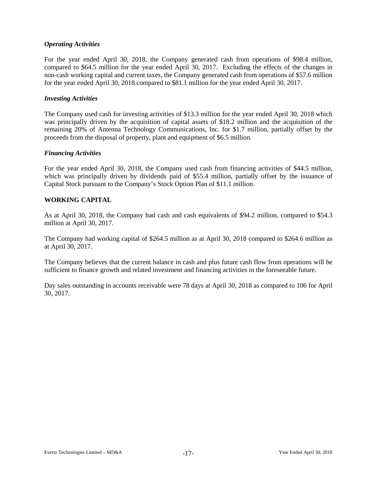# *Operating Activities*

For the year ended April 30, 2018, the Company generated cash from operations of \$98.4 million, compared to \$64.5 million for the year ended April 30, 2017. Excluding the effects of the changes in non-cash working capital and current taxes, the Company generated cash from operations of \$57.6 million for the year ended April 30, 2018 compared to \$81.1 million for the year ended April 30, 2017.

### *Investing Activities*

The Company used cash for investing activities of \$13.3 million for the year ended April 30, 2018 which was principally driven by the acquisition of capital assets of \$18.2 million and the acquisition of the remaining 20% of Antenna Technology Communications, Inc. for \$1.7 million, partially offset by the proceeds from the disposal of property, plant and equipment of \$6.5 million.

### *Financing Activities*

For the year ended April 30, 2018, the Company used cash from financing activities of \$44.5 million, which was principally driven by dividends paid of \$55.4 million, partially offset by the issuance of Capital Stock pursuant to the Company's Stock Option Plan of \$11.1 million.

# **WORKING CAPITAL**

As at April 30, 2018, the Company had cash and cash equivalents of \$94.2 million, compared to \$54.3 million at April 30, 2017.

The Company had working capital of \$264.5 million as at April 30, 2018 compared to \$264.6 million as at April 30, 2017.

The Company believes that the current balance in cash and plus future cash flow from operations will be sufficient to finance growth and related investment and financing activities in the foreseeable future.

Day sales outstanding in accounts receivable were 78 days at April 30, 2018 as compared to 106 for April 30, 2017.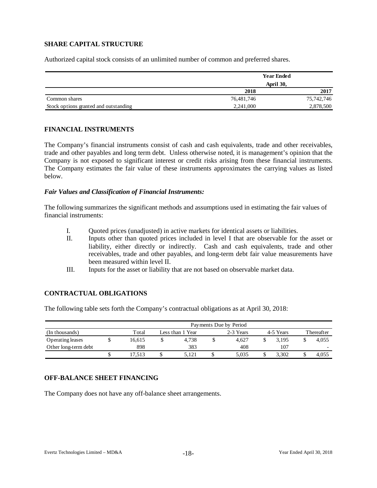# **SHARE CAPITAL STRUCTURE**

Authorized capital stock consists of an unlimited number of common and preferred shares.

|                                       |            | <b>Year Ended</b> |  |  |  |
|---------------------------------------|------------|-------------------|--|--|--|
|                                       | April 30,  |                   |  |  |  |
|                                       | 2018       | 2017              |  |  |  |
| Common shares                         | 76.481.746 | 75,742,746        |  |  |  |
| Stock options granted and outstanding | 2,241,000  | 2,878,500         |  |  |  |

### **FINANCIAL INSTRUMENTS**

The Company's financial instruments consist of cash and cash equivalents, trade and other receivables, trade and other payables and long term debt. Unless otherwise noted, it is management's opinion that the Company is not exposed to significant interest or credit risks arising from these financial instruments. The Company estimates the fair value of these instruments approximates the carrying values as listed below.

### *Fair Values and Classification of Financial Instruments:*

The following summarizes the significant methods and assumptions used in estimating the fair values of financial instruments:

- I. Quoted prices (unadjusted) in active markets for identical assets or liabilities.
- II. Inputs other than quoted prices included in level I that are observable for the asset or liability, either directly or indirectly. Cash and cash equivalents, trade and other receivables, trade and other payables, and long-term debt fair value measurements have been measured within level II.
- III. Inputs for the asset or liability that are not based on observable market data.

# **CONTRACTUAL OBLIGATIONS**

The following table sets forth the Company's contractual obligations as at April 30, 2018:

|                      | Payments Due by Period |        |                  |       |           |       |           |       |            |                          |
|----------------------|------------------------|--------|------------------|-------|-----------|-------|-----------|-------|------------|--------------------------|
| (In thousands)       |                        | Total  | Less than 1 Year |       | 2-3 Years |       | 4-5 Years |       | Thereafter |                          |
| Operating leases     |                        | 16.615 |                  | 4.738 |           | 4.627 |           | 3.195 |            | 4.055                    |
| Other long-term debt |                        | 898    |                  | 383   |           | 408   |           | 107   |            | $\overline{\phantom{0}}$ |
|                      |                        | 7.513  | D                | 5.121 |           | 5.035 |           | 3.302 |            | 4,055                    |

# **OFF-BALANCE SHEET FINANCING**

The Company does not have any off-balance sheet arrangements.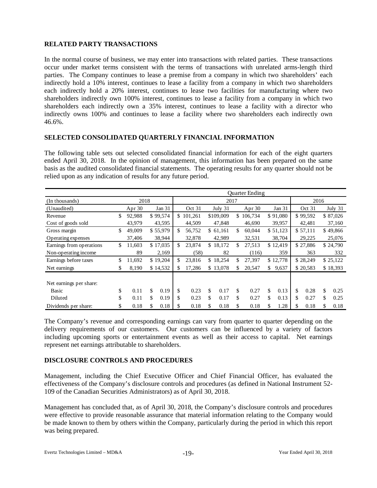# **RELATED PARTY TRANSACTIONS**

In the normal course of business, we may enter into transactions with related parties. These transactions occur under market terms consistent with the terms of transactions with unrelated arms-length third parties. The Company continues to lease a premise from a company in which two shareholders' each indirectly hold a 10% interest, continues to lease a facility from a company in which two shareholders each indirectly hold a 20% interest, continues to lease two facilities for manufacturing where two shareholders indirectly own 100% interest, continues to lease a facility from a company in which two shareholders each indirectly own a 35% interest, continues to lease a facility with a director who indirectly owns 100% and continues to lease a facility where two shareholders each indirectly own 46.6%.

# **SELECTED CONSOLIDATED QUARTERLY FINANCIAL INFORMATION**

The following table sets out selected consolidated financial information for each of the eight quarters ended April 30, 2018. In the opinion of management, this information has been prepared on the same basis as the audited consolidated financial statements. The operating results for any quarter should not be relied upon as any indication of results for any future period.

|                          | <b>Ouarter Ending</b> |          |          |              |         |          |           |     |         |             |          |          |          |          |          |  |
|--------------------------|-----------------------|----------|----------|--------------|---------|----------|-----------|-----|---------|-------------|----------|----------|----------|----------|----------|--|
| (In thousands)           | 2018                  |          |          |              | 2017    |          |           |     |         |             |          |          | 2016     |          |          |  |
| (Unaudited)              | Apr 30                |          | Jan 31   |              | Oct 31  |          | July 31   |     | Apr 30  |             | Jan 31   |          | Oct 31   |          | July 31  |  |
| Revenue                  | \$<br>92,988          |          | \$99,574 | \$           | 101,261 |          | \$109,009 | \$  | 106,734 |             | \$91,080 |          | \$99,592 |          | \$87,026 |  |
| Cost of goods sold       | 43,979                |          | 43,595   |              | 44,509  |          | 47,848    |     | 46,690  |             | 39,957   |          | 42,481   |          | 37,160   |  |
| Gross margin             | \$<br>49,009          |          | \$55,979 | \$.          | 56,752  |          | \$61,161  | \$. | 60.044  |             | \$51,123 |          | \$57,111 |          | \$49,866 |  |
| Operating expenses       | 37,406                |          | 38,944   |              | 32,878  |          | 42,989    |     | 32,531  |             | 38,704   |          | 29,225   |          | 25,076   |  |
| Earnings from operations | \$<br>11,603          |          | \$17,035 | \$           | 23,874  |          | \$18,172  | \$. | 27,513  |             | \$12,419 |          | \$27,886 |          | \$24,790 |  |
| Non-operating income     | 89                    |          | 2,169    |              | (58)    |          | 82        |     | (116)   |             | 359      |          | 363      |          | 332      |  |
| Earnings before taxes    | \$<br>11.692          | \$19,204 |          | 23,816<br>\$ |         | \$18,254 |           | \$. | 27,397  | \$12,778    |          | \$28,249 |          | \$25,122 |          |  |
| Net earnings             | \$<br>8,190           | \$14,532 |          | \$.          | 17,286  |          | \$13,078  | \$. | 20,547  | \$<br>9,637 |          | \$20,583 |          | \$18,393 |          |  |
|                          |                       |          |          |              |         |          |           |     |         |             |          |          |          |          |          |  |
| Net earnings per share:  |                       |          |          |              |         |          |           |     |         |             |          |          |          |          |          |  |
| Basic                    | \$<br>0.11            | \$       | 0.19     | \$           | 0.23    | \$       | 0.17      | \$  | 0.27    | \$          | 0.13     | \$       | 0.28     | \$       | 0.25     |  |
| Diluted                  | \$<br>0.11            | \$       | 0.19     | \$           | 0.23    | \$       | 0.17      | \$  | 0.27    | \$          | 0.13     | \$       | 0.27     | \$       | 0.25     |  |
| Dividends per share:     | \$<br>0.18            | \$       | 0.18     | \$           | 0.18    | \$       | 0.18      | \$  | 0.18    | \$          | 1.28     | \$       | 0.18     | \$       | 0.18     |  |

The Company's revenue and corresponding earnings can vary from quarter to quarter depending on the delivery requirements of our customers. Our customers can be influenced by a variety of factors including upcoming sports or entertainment events as well as their access to capital. Net earnings represent net earnings attributable to shareholders.

# **DISCLOSURE CONTROLS AND PROCEDURES**

Management, including the Chief Executive Officer and Chief Financial Officer, has evaluated the effectiveness of the Company's disclosure controls and procedures (as defined in National Instrument 52- 109 of the Canadian Securities Administrators) as of April 30, 2018.

Management has concluded that, as of April 30, 2018, the Company's disclosure controls and procedures were effective to provide reasonable assurance that material information relating to the Company would be made known to them by others within the Company, particularly during the period in which this report was being prepared.